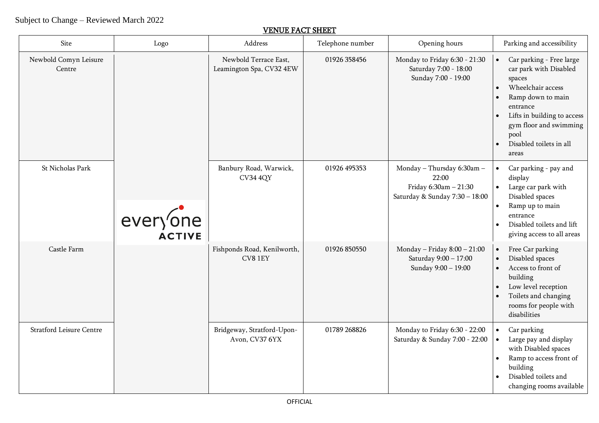## Subject to Change – Reviewed March 2022

## VENUE FACT SHEET

| Site                            | Logo     | Address                                           | Telephone number | Opening hours                                                                                  | Parking and accessibility                                                                                                                                                                                                                         |
|---------------------------------|----------|---------------------------------------------------|------------------|------------------------------------------------------------------------------------------------|---------------------------------------------------------------------------------------------------------------------------------------------------------------------------------------------------------------------------------------------------|
| Newbold Comyn Leisure<br>Centre |          | Newbold Terrace East,<br>Leamington Spa, CV32 4EW | 01926 358456     | Monday to Friday 6:30 - 21:30<br>Saturday 7:00 - 18:00<br>Sunday 7:00 - 19:00                  | Car parking - Free large<br>$\bullet$<br>car park with Disabled<br>spaces<br>Wheelchair access<br>Ramp down to main<br>entrance<br>Lifts in building to access<br>gym floor and swimming<br>pool<br>Disabled toilets in all<br>$\bullet$<br>areas |
| St Nicholas Park                | everyone | Banbury Road, Warwick,<br><b>CV34 4QY</b>         | 01926 495353     | Monday - Thursday 6:30am -<br>22:00<br>Friday 6:30am - 21:30<br>Saturday & Sunday 7:30 - 18:00 | Car parking - pay and<br>$\bullet$<br>display<br>Large car park with<br>$\bullet$<br>Disabled spaces<br>Ramp up to main<br>$\bullet$<br>entrance<br>Disabled toilets and lift<br>$\bullet$<br>giving access to all areas                          |
| Castle Farm                     |          | Fishponds Road, Kenilworth,<br>CV8 1EY            | 01926 850550     | Monday - Friday $8:00 - 21:00$<br>Saturday 9:00 - 17:00<br>Sunday 9:00 - 19:00                 | Free Car parking<br>$\bullet$<br>Disabled spaces<br>$\bullet$<br>Access to front of<br>$\bullet$<br>building<br>Low level reception<br>Toilets and changing<br>rooms for people with<br>disabilities                                              |
| <b>Stratford Leisure Centre</b> |          | Bridgeway, Stratford-Upon-<br>Avon, CV37 6YX      | 01789 268826     | Monday to Friday 6:30 - 22:00<br>Saturday & Sunday 7:00 - 22:00                                | Car parking<br>$\bullet$<br>Large pay and display<br>with Disabled spaces<br>Ramp to access front of<br>building<br>Disabled toilets and<br>changing rooms available                                                                              |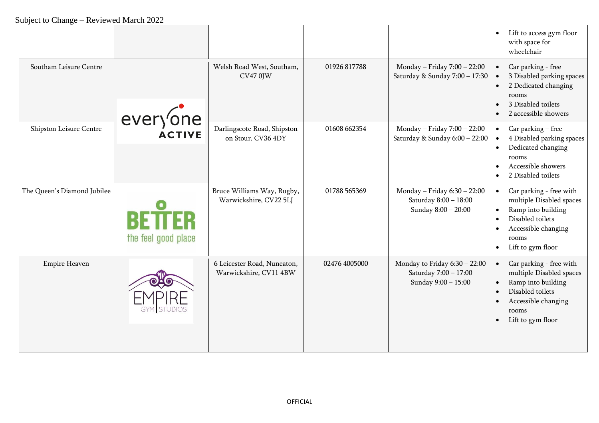|                             |                                      |                                                       |               |                                                                                 | Lift to access gym floor<br>with space for<br>wheelchair                                                                                                        |
|-----------------------------|--------------------------------------|-------------------------------------------------------|---------------|---------------------------------------------------------------------------------|-----------------------------------------------------------------------------------------------------------------------------------------------------------------|
| Southam Leisure Centre      |                                      | Welsh Road West, Southam,<br><b>CV47 0JW</b>          | 01926 817788  | Monday - Friday 7:00 - 22:00<br>Saturday & Sunday 7:00 - 17:30                  | Car parking - free<br>3 Disabled parking spaces<br>2 Dedicated changing<br>rooms<br>3 Disabled toilets<br>2 accessible showers                                  |
| Shipston Leisure Centre     | everyone                             | Darlingscote Road, Shipston<br>on Stour, CV36 4DY     | 01608 662354  | Monday - Friday 7:00 - 22:00<br>Saturday & Sunday 6:00 - 22:00                  | Car parking – free<br>4 Disabled parking spaces<br>Dedicated changing<br>rooms<br>Accessible showers                                                            |
|                             |                                      |                                                       |               |                                                                                 | 2 Disabled toilets                                                                                                                                              |
| The Queen's Diamond Jubilee | <b>BETTER</b><br>the feel good place | Bruce Williams Way, Rugby,<br>Warwickshire, CV22 5LJ  | 01788 565369  | Monday - Friday 6:30 - 22:00<br>Saturday 8:00 - 18:00<br>Sunday 8:00 - 20:00    | Car parking - free with<br>multiple Disabled spaces<br>Ramp into building<br>Disabled toilets<br>Accessible changing<br>rooms<br>Lift to gym floor<br>$\bullet$ |
| <b>Empire Heaven</b>        |                                      | 6 Leicester Road, Nuneaton,<br>Warwickshire, CV11 4BW | 02476 4005000 | Monday to Friday $6:30 - 22:00$<br>Saturday 7:00 - 17:00<br>Sunday 9:00 - 15:00 | Car parking - free with<br>multiple Disabled spaces<br>Ramp into building<br>Disabled toilets<br>Accessible changing<br>rooms<br>Lift to gym floor              |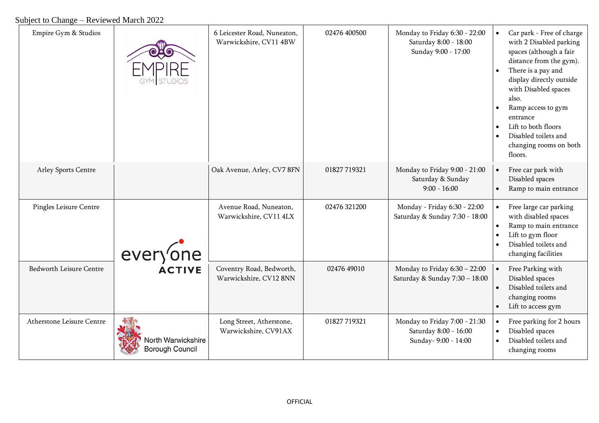## Subject to Change – Reviewed March 2022

| Empire Gym & Studios      |                                              | 6 Leicester Road, Nuneaton,<br>Warwickshire, CV11 4BW | 02476 400500 | Monday to Friday 6:30 - 22:00<br>Saturday 8:00 - 18:00<br>Sunday 9:00 - 17:00  | $\bullet$ | Car park - Free of charge<br>with 2 Disabled parking<br>spaces (although a fair<br>distance from the gym).<br>There is a pay and<br>display directly outside<br>with Disabled spaces<br>also.<br>Ramp access to gym<br>entrance<br>Lift to both floors<br>Disabled toilets and<br>changing rooms on both<br>floors. |
|---------------------------|----------------------------------------------|-------------------------------------------------------|--------------|--------------------------------------------------------------------------------|-----------|---------------------------------------------------------------------------------------------------------------------------------------------------------------------------------------------------------------------------------------------------------------------------------------------------------------------|
| Arley Sports Centre       |                                              | Oak Avenue, Arley, CV7 8FN                            | 01827 719321 | Monday to Friday 9:00 - 21:00<br>Saturday & Sunday<br>$9:00 - 16:00$           |           | Free car park with<br>Disabled spaces<br>Ramp to main entrance                                                                                                                                                                                                                                                      |
| Pingles Leisure Centre    | everyone<br><b>ACTIVE</b>                    | Avenue Road, Nuneaton,<br>Warwickshire, CV11 4LX      | 02476 321200 | Monday - Friday 6:30 - 22:00<br>Saturday & Sunday 7:30 - 18:00                 |           | Free large car parking<br>with disabled spaces<br>Ramp to main entrance<br>Lift to gym floor<br>Disabled toilets and<br>changing facilities                                                                                                                                                                         |
| Bedworth Leisure Centre   |                                              | Coventry Road, Bedworth,<br>Warwickshire, CV12 8NN    | 02476 49010  | Monday to Friday $6:30 - 22:00$<br>Saturday & Sunday 7:30 - 18:00              |           | Free Parking with<br>Disabled spaces<br>Disabled toilets and<br>changing rooms<br>Lift to access gym                                                                                                                                                                                                                |
| Atherstone Leisure Centre | North Warwickshire<br><b>Borough Council</b> | Long Street, Atherstone,<br>Warwickshire, CV91AX      | 01827 719321 | Monday to Friday 7:00 - 21:30<br>Saturday 8:00 - 16:00<br>Sunday- 9:00 - 14:00 |           | Free parking for 2 hours<br>Disabled spaces<br>Disabled toilets and<br>changing rooms                                                                                                                                                                                                                               |